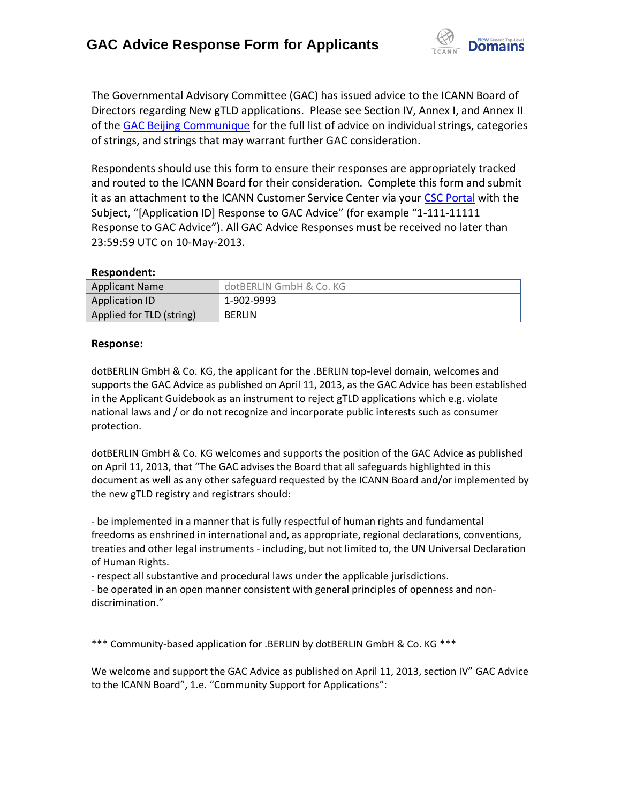

The Governmental Advisory Committee (GAC) has issued advice to the ICANN Board of Directors regarding New gTLD applications. Please see Section IV, Annex I, and Annex II of the [GAC Beijing Communique](http://www.icann.org/en/news/correspondence/gac-to-board-18apr13-en.pdf) for the full list of advice on individual strings, categories of strings, and strings that may warrant further GAC consideration.

Respondents should use this form to ensure their responses are appropriately tracked and routed to the ICANN Board for their consideration. Complete this form and submit it as an attachment to the ICANN Customer Service Center via your CSC [Portal](https://myicann.secure.force.com/) with the Subject, "[Application ID] Response to GAC Advice" (for example "1-111-11111 Response to GAC Advice"). All GAC Advice Responses must be received no later than 23:59:59 UTC on 10-May-2013.

### **Respondent:**

| <b>Applicant Name</b>    | dotBERLIN GmbH & Co. KG |
|--------------------------|-------------------------|
| <b>Application ID</b>    | 1-902-9993              |
| Applied for TLD (string) | <b>BERLIN</b>           |

### **Response:**

dotBERLIN GmbH & Co. KG, the applicant for the .BERLIN top-level domain, welcomes and supports the GAC Advice as published on April 11, 2013, as the GAC Advice has been established in the Applicant Guidebook as an instrument to reject gTLD applications which e.g. violate national laws and / or do not recognize and incorporate public interests such as consumer protection.

dotBERLIN GmbH & Co. KG welcomes and supports the position of the GAC Advice as published on April 11, 2013, that "The GAC advises the Board that all safeguards highlighted in this document as well as any other safeguard requested by the ICANN Board and/or implemented by the new gTLD registry and registrars should:

- be implemented in a manner that is fully respectful of human rights and fundamental freedoms as enshrined in international and, as appropriate, regional declarations, conventions, treaties and other legal instruments - including, but not limited to, the UN Universal Declaration of Human Rights.

- respect all substantive and procedural laws under the applicable jurisdictions.

- be operated in an open manner consistent with general principles of openness and non‐ discrimination."

\*\*\* Community-based application for .BERLIN by dotBERLIN GmbH & Co. KG \*\*\*

We welcome and support the GAC Advice as published on April 11, 2013, section IV" GAC Advice to the ICANN Board", 1.e. "Community Support for Applications":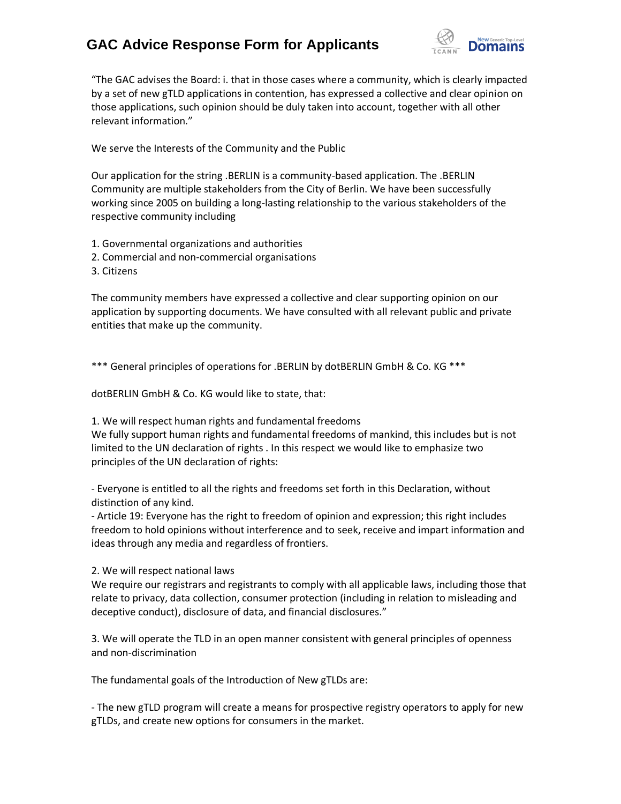# **GAC Advice Response Form for Applicants**



"The GAC advises the Board: i. that in those cases where a community, which is clearly impacted by a set of new gTLD applications in contention, has expressed a collective and clear opinion on those applications, such opinion should be duly taken into account, together with all other relevant information."

We serve the Interests of the Community and the Public

Our application for the string .BERLIN is a community-based application. The .BERLIN Community are multiple stakeholders from the City of Berlin. We have been successfully working since 2005 on building a long-lasting relationship to the various stakeholders of the respective community including

- 1. Governmental organizations and authorities
- 2. Commercial and non-commercial organisations
- 3. Citizens

The community members have expressed a collective and clear supporting opinion on our application by supporting documents. We have consulted with all relevant public and private entities that make up the community.

\*\*\* General principles of operations for .BERLIN by dotBERLIN GmbH & Co. KG \*\*\*

dotBERLIN GmbH & Co. KG would like to state, that:

1. We will respect human rights and fundamental freedoms

We fully support human rights and fundamental freedoms of mankind, this includes but is not limited to the UN declaration of rights . In this respect we would like to emphasize two principles of the UN declaration of rights:

- Everyone is entitled to all the rights and freedoms set forth in this Declaration, without distinction of any kind.

- Article 19: Everyone has the right to freedom of opinion and expression; this right includes freedom to hold opinions without interference and to seek, receive and impart information and ideas through any media and regardless of frontiers.

2. We will respect national laws

We require our registrars and registrants to comply with all applicable laws, including those that relate to privacy, data collection, consumer protection (including in relation to misleading and deceptive conduct), disclosure of data, and financial disclosures."

3. We will operate the TLD in an open manner consistent with general principles of openness and non‐discrimination

The fundamental goals of the Introduction of New gTLDs are:

- The new gTLD program will create a means for prospective registry operators to apply for new gTLDs, and create new options for consumers in the market.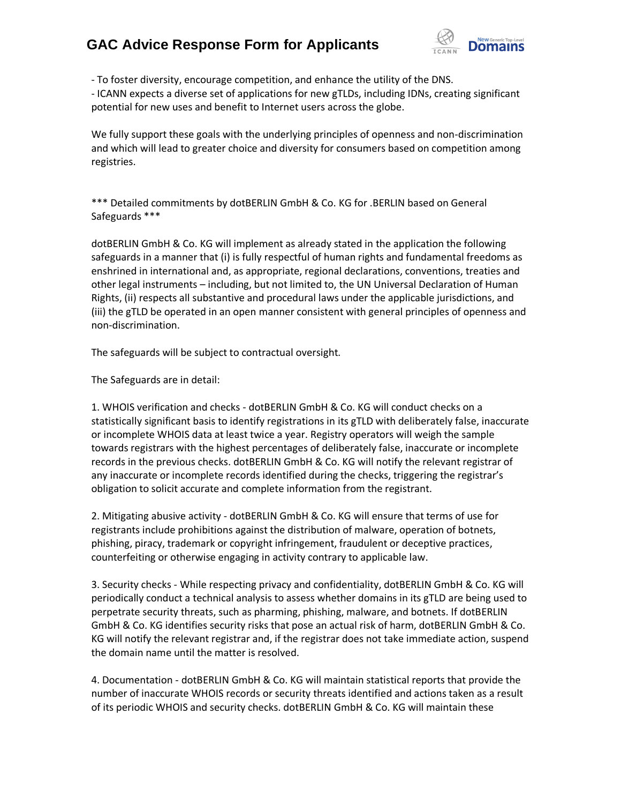## **GAC Advice Response Form for Applicants**



- To foster diversity, encourage competition, and enhance the utility of the DNS.

- ICANN expects a diverse set of applications for new gTLDs, including IDNs, creating significant potential for new uses and benefit to Internet users across the globe.

We fully support these goals with the underlying principles of openness and non-discrimination and which will lead to greater choice and diversity for consumers based on competition among registries.

\*\*\* Detailed commitments by dotBERLIN GmbH & Co. KG for .BERLIN based on General Safeguards \*\*\*

dotBERLIN GmbH & Co. KG will implement as already stated in the application the following safeguards in a manner that (i) is fully respectful of human rights and fundamental freedoms as enshrined in international and, as appropriate, regional declarations, conventions, treaties and other legal instruments – including, but not limited to, the UN Universal Declaration of Human Rights, (ii) respects all substantive and procedural laws under the applicable jurisdictions, and (iii) the gTLD be operated in an open manner consistent with general principles of openness and non‐discrimination.

The safeguards will be subject to contractual oversight.

The Safeguards are in detail:

1. WHOIS verification and checks - dotBERLIN GmbH & Co. KG will conduct checks on a statistically significant basis to identify registrations in its gTLD with deliberately false, inaccurate or incomplete WHOIS data at least twice a year. Registry operators will weigh the sample towards registrars with the highest percentages of deliberately false, inaccurate or incomplete records in the previous checks. dotBERLIN GmbH & Co. KG will notify the relevant registrar of any inaccurate or incomplete records identified during the checks, triggering the registrar's obligation to solicit accurate and complete information from the registrant.

2. Mitigating abusive activity - dotBERLIN GmbH & Co. KG will ensure that terms of use for registrants include prohibitions against the distribution of malware, operation of botnets, phishing, piracy, trademark or copyright infringement, fraudulent or deceptive practices, counterfeiting or otherwise engaging in activity contrary to applicable law.

3. Security checks - While respecting privacy and confidentiality, dotBERLIN GmbH & Co. KG will periodically conduct a technical analysis to assess whether domains in its gTLD are being used to perpetrate security threats, such as pharming, phishing, malware, and botnets. If dotBERLIN GmbH & Co. KG identifies security risks that pose an actual risk of harm, dotBERLIN GmbH & Co. KG will notify the relevant registrar and, if the registrar does not take immediate action, suspend the domain name until the matter is resolved.

4. Documentation - dotBERLIN GmbH & Co. KG will maintain statistical reports that provide the number of inaccurate WHOIS records or security threats identified and actions taken as a result of its periodic WHOIS and security checks. dotBERLIN GmbH & Co. KG will maintain these